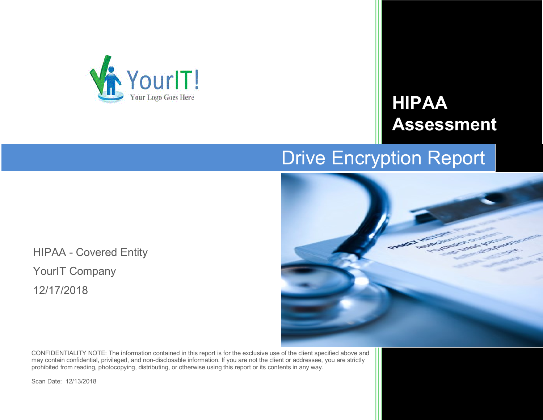

# **HIPAA Assessment**

# Drive Encryption Report



CONFIDENTIALITY NOTE: The information contained in this report is for the exclusive use of the client specified above and may contain confidential, privileged, and non-disclosable information. If you are not the client or addressee, you are strictly prohibited from reading, photocopying, distributing, or otherwise using this report or its contents in any way.

Scan Date: 12/13/2018

HIPAA - Covered Entity

YourlT Company

12/17/2018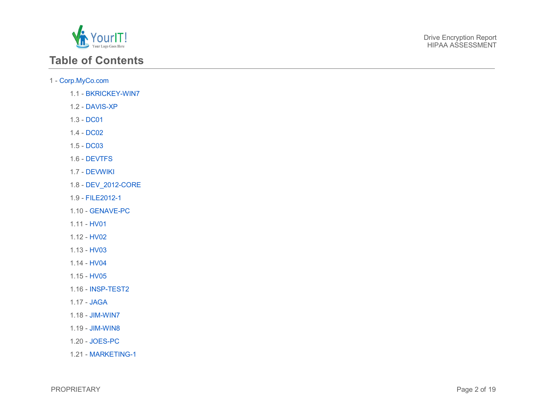

# **Table of Contents**

1 - [Corp.MyCo.com](#page-4-0)

- 1.1 [BKRICKEY](#page-4-1) -WIN7
- 1.2 [DAVIS](#page-4-2)-XP
- 1.3 [DC01](#page-4-3)
- 1.4 [DC02](#page-5-0)
- 1.5 [DC03](#page-5-1)
- 1.6 [DEVTFS](#page-5-2)
- 1.7 [DEVWIKI](#page-6-0)
- 1.8 [DEV\\_2012](#page-6-1) -CORE
- 1.9 [FILE2012](#page-6-2) 1
- 1.10 [GENAVE](#page-7-0)-PC
- 1.11 [HV01](#page-7-1)
- 1.12 [HV02](#page-7-2)
- 1.13 [HV03](#page-8-0)
- 1.14 [HV04](#page-8-1)
- 1.15 [HV05](#page-9-0)
- 1.16 INSP[-TEST2](#page-9-1)
- 1.17 [JAGA](#page-9-2)
- 1.18 JIM[-WIN7](#page-10-0)
- 1.19 JIM[-WIN8](#page-10-1)
- 1.20 [JOES](#page-10-2)-PC
- 1.21 [MARKETING](#page-11-0)-1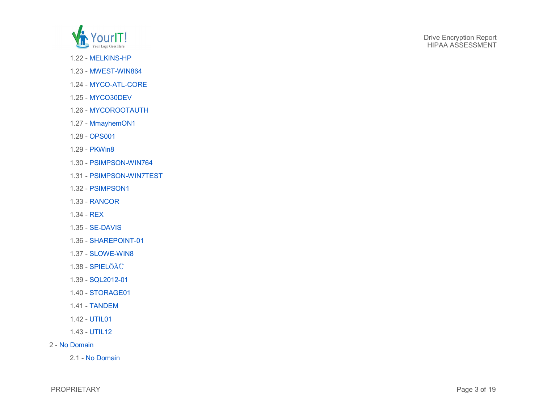

- 1.22 [MELKINS-HP](#page-11-1)
- 1.23 [MWEST-WIN864](#page-11-2)
- 1.24 [MYCO-ATL-CORE](#page-12-0)
- 1.25 [MYCO30DEV](#page-12-1)
- 1.26 [MYCOROOTAUTH](#page-12-2)
- 1.27 [MmayhemON1](#page-13-0)
- 1.28 [OPS001](#page-13-1)
- 1.29 [PKWin8](#page-13-2)
- 1.30 [PSIMPSON-WIN764](#page-14-0)
- 1.31 [PSIMPSON-WIN7TEST](#page-14-1)
- 1.32 [PSIMPSON1](#page-14-2)
- 1.33 [RANCOR](#page-15-0)
- 1.34 [REX](#page-15-1)
- 1.35 [SE-DAVIS](#page-15-2)
- 1.36 [SHAREPOINT-01](#page-16-0)
- 1.37 [SLOWE-WIN8](#page-16-1)
- 1.38 [SPIEL](#page-16-2)ÖÄÜ
- 1.39 [SQL2012-01](#page-17-0)
- 1.40 [STORAGE01](#page-17-1)
- 1.41 [TANDEM](#page-18-0)
- 1.42 [UTIL01](#page-18-1)
- 1.43 [UTIL12](#page-18-2)
- 2 No Domain
	- 2.1 No Domain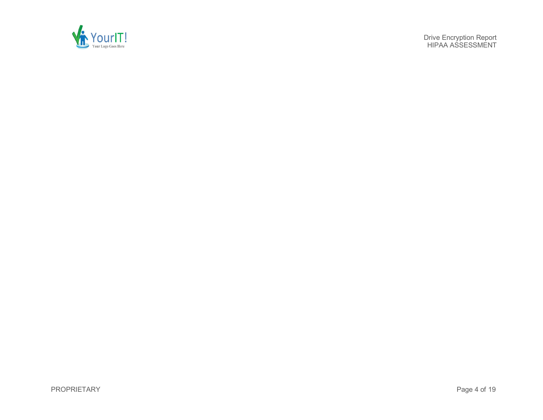

Drive Encryption Report HIPAA ASSESSMENT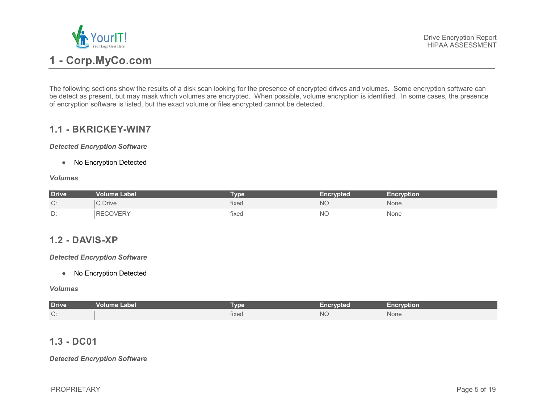

<span id="page-4-0"></span>The following sections show the results of a disk scan looking for the presence of encrypted drives and volumes. Some encryption software can be detect as present, but may mask which volumes are encrypted. When possible, volume encryption is identified. In some cases, the presence of encryption software is listed, but the exact volume or files encrypted cannot be detected.

## <span id="page-4-1"></span>**1.1 - BKRICKEY-WIN7**

#### *Detected Encryption Software*

● No Encryption Detected

#### *Volumes*

| <b>Drive</b>       | <b>Volume Label</b> | <b>Type</b> | Encrypted | <b>Encryption</b> |
|--------------------|---------------------|-------------|-----------|-------------------|
| C:                 | C Drive             | fixed       | <b>NO</b> | None              |
| $\bigcap$ .<br>ັບ. | <b>RECOVERY</b>     | fixed       | <b>NC</b> | None              |

### <span id="page-4-2"></span>**1.2 - DAVIS-XP**

#### *Detected Encryption Software*

● No Encryption Detected

#### *Volumes*

| <b>Drive</b>         | Volume ⊾<br>∟abel | voe           | ıcrvntec   | :ncrvption |
|----------------------|-------------------|---------------|------------|------------|
| $\sim$<br>$\backsim$ |                   | $-1$<br>fixea | <b>INC</b> | None       |

### <span id="page-4-3"></span>**1.3 - DC01**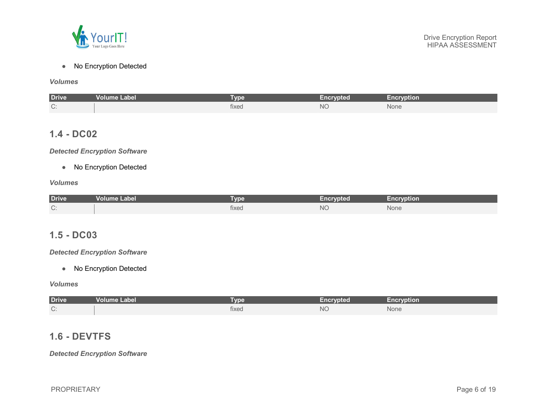

#### ● No Encryption Detected

#### *Volumes*

| <b>Drive</b>                       | <b>Volume Label</b> | <b>vpe</b> | Encrvpted | Encryption |
|------------------------------------|---------------------|------------|-----------|------------|
| $\curvearrowright$ .<br>$\smile$ . |                     | fixea      | <b>NC</b> | None       |

### <span id="page-5-0"></span>**1.4 - DC02**

#### *Detected Encryption Software*

● No Encryption Detected

#### *Volumes*

| <b>Drive</b>        | Volume Label' | ___<br><b>VOC</b> | Encrypted | <b>Encryption</b> |
|---------------------|---------------|-------------------|-----------|-------------------|
| $\cap$<br>$\ddotsc$ |               | $-1$<br>fixed     | <b>NO</b> | None              |

### <span id="page-5-1"></span>**1.5 - DC03**

#### *Detected Encryption Software*

● No Encryption Detected

#### *Volumes*

| <b>Drive</b>              | Label<br>olume | <b>vne</b>   | п.,             | $\sim$ $\sim$ $\sim$ $\sim$<br>ryption<br>-- |
|---------------------------|----------------|--------------|-----------------|----------------------------------------------|
| $\bigcap$<br>$\backsim$ . |                | <b>TIXEC</b> | $\sim$ 16<br>טע | vone                                         |

# <span id="page-5-2"></span>**1.6 - DEVTFS**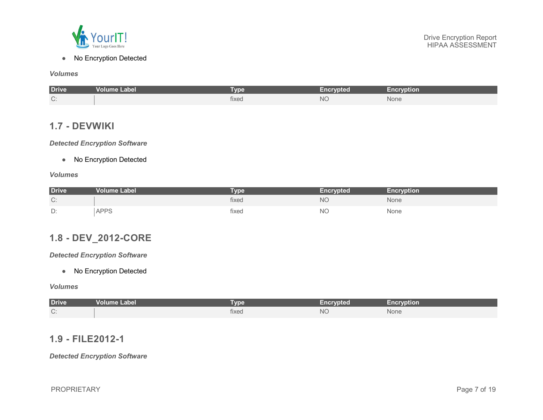

| <b>Drive</b>        | Volume<br>Lapel | <b>Type</b> | rvpted | ____<br>vouon |
|---------------------|-----------------|-------------|--------|---------------|
| $\bigcap$<br>$\sim$ |                 | --<br>fixed | NС     | None          |

# <span id="page-6-0"></span>**1.7 - DEVWIKI**

#### *Detected Encryption Software*

● No Encryption Detected

#### *Volumes*

| <b>Drive</b>         | <b>Volume Label</b> | <b>Wole</b> | Encrypted | Encryption  |
|----------------------|---------------------|-------------|-----------|-------------|
| $\bigcap$<br>U.      |                     | fixed       | <b>NC</b> | <b>None</b> |
| $\Gamma$<br><u>.</u> | <b>APPS</b>         | fixed       | <b>NC</b> | None        |

# <span id="page-6-1"></span>**1.8 - DEV\_2012-CORE**

#### *Detected Encryption Software*

● No Encryption Detected

#### *Volumes*

| <b>Drive</b>   | Volume Label | <b>Noe</b>   | A NY ORIENA   | $E^{\text{ncr}}$<br>ryption' |
|----------------|--------------|--------------|---------------|------------------------------|
| -<br>$\ddotsc$ |              | <b>fixed</b> | <sub>NO</sub> | None                         |

## <span id="page-6-2"></span>**1.9 - FILE2012-1**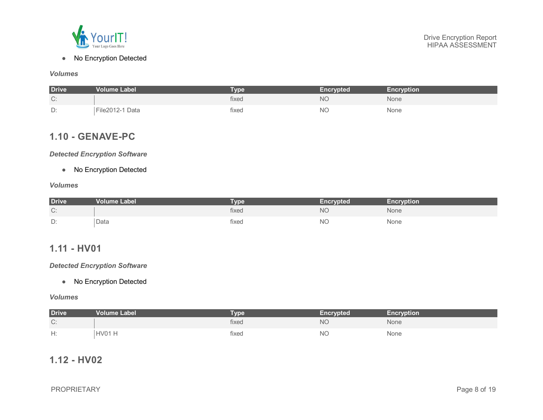

#### ● No Encryption Detected

#### *Volumes*

| <b>Drive</b>                         | Volume Label    | <b>vpe</b> | <b>Encrypted</b> | <b>Encryption</b> |
|--------------------------------------|-----------------|------------|------------------|-------------------|
| C:                                   |                 | fixed      | <b>NO</b>        | None              |
| $\Gamma$<br>$\overline{\phantom{a}}$ | File2012-1 Data | fixed      | <b>NO</b>        | None              |

### <span id="page-7-0"></span>**1.10 - GENAVE-PC**

#### *Detected Encryption Software*

● No Encryption Detected

#### *Volumes*

| <b>Drive</b>    | <b>Volume Label</b> | <b>Solv</b>   | Encrypted | <b>Encryption</b> |
|-----------------|---------------------|---------------|-----------|-------------------|
| $\bigcap$<br>U. |                     | $-1$<br>fixed | ΝC        | <b>None</b>       |
| D:              | Data                | --<br>fixed   | <b>NC</b> | None              |

### <span id="page-7-1"></span>**1.11 - HV01**

#### *Detected Encryption Software*

● No Encryption Detected

#### *Volumes*

| <b>Drive</b> | <b>Volume Label</b> | vpe   | <b>Encrypted</b> | <b>Encryption</b> |
|--------------|---------------------|-------|------------------|-------------------|
| C:           |                     | fixed | <b>NC</b>        | None              |
| H:           | <b>HV01</b>         | fixed | NC.              | None              |

### <span id="page-7-2"></span>**1.12 - HV02**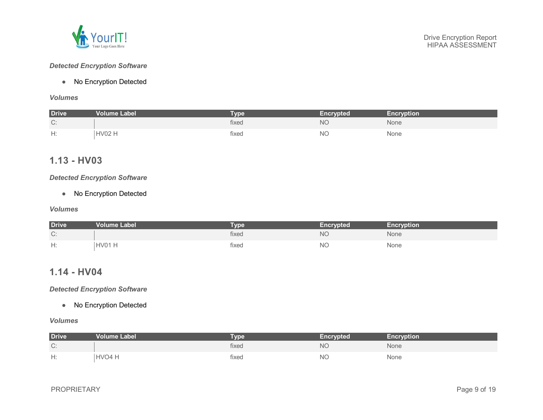

#### *Detected Encryption Software*

● No Encryption Detected

#### *Volumes*

| <b>Drive</b>             | <b>Volume Label</b> | vne   | Encrypted | <b>Encryption</b> |
|--------------------------|---------------------|-------|-----------|-------------------|
| $\curvearrowright$<br>U. |                     | fixed | ΝC        | None              |
| H<br>.                   | <b>HV02 H</b>       | fixed | ΝC        | None              |

### <span id="page-8-0"></span>**1.13 - HV03**

#### *Detected Encryption Software*

#### ● No Encryption Detected

#### *Volumes*

| <b>Drive</b>    | <b>Volume Label</b> | <b>vpe</b> | <b>Encrypted</b> | <b>Encryption</b> |
|-----------------|---------------------|------------|------------------|-------------------|
| $\bigcap$<br>U. |                     | fixed      | <b>NC</b>        | <b>None</b>       |
| H:              | <b>HV01 H</b>       | fixed      | <b>NC</b>        | None              |

### <span id="page-8-1"></span>**1.14 - HV04**

#### *Detected Encryption Software*

● No Encryption Detected

| <b>Drive</b>             | <b>Volume Label</b> | <b>vpe</b> | <b>Encrypted</b> | <b>Encryption</b> |
|--------------------------|---------------------|------------|------------------|-------------------|
| $\curvearrowright$<br>U. |                     | fixed      | <b>NC</b>        | None              |
| H:                       | HVO <sub>4</sub> H  | fixed      | NO               | None              |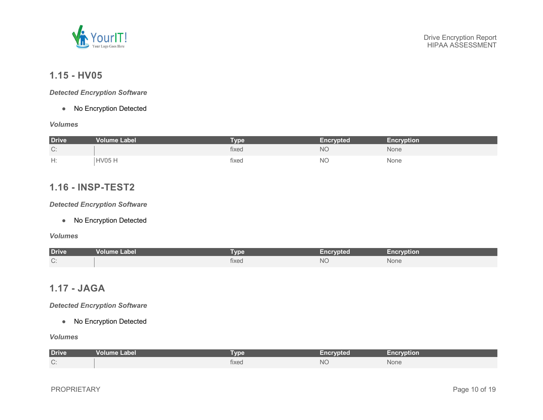

### <span id="page-9-0"></span>**1.15 - HV05**

*Detected Encryption Software*

● No Encryption Detected

*Volumes*

| <b>Drive</b>             | <b>Volume Label</b> | <b>vpe</b> | Encrypted | <b>Encryption</b> |
|--------------------------|---------------------|------------|-----------|-------------------|
| $\curvearrowright$<br>U. |                     | fixed      | <b>NC</b> | <b>None</b>       |
| H:                       | <b>HV05 H</b>       | fixed      | <b>NC</b> | None              |

### <span id="page-9-1"></span>**1.16 - INSP-TEST2**

#### *Detected Encryption Software*

● No Encryption Detected

#### *Volumes*

| <b>Drive</b>       | rolume l<br>Lapel. | vpe             | ™crvptec | Encryption |
|--------------------|--------------------|-----------------|----------|------------|
| $\sim$<br>$\cup$ . |                    | $\sim$<br>tixed | NС       | None       |

# <span id="page-9-2"></span>**1.17 - JAGA**

*Detected Encryption Software*

● No Encryption Detected

| <b>Drive</b>                 | ,,,,, | . ≞Vie™           | ___           | ption<br>-- |
|------------------------------|-------|-------------------|---------------|-------------|
| $\curvearrowright$<br>$\sim$ |       | -<br><b>fixed</b> | <sub>NO</sub> | None        |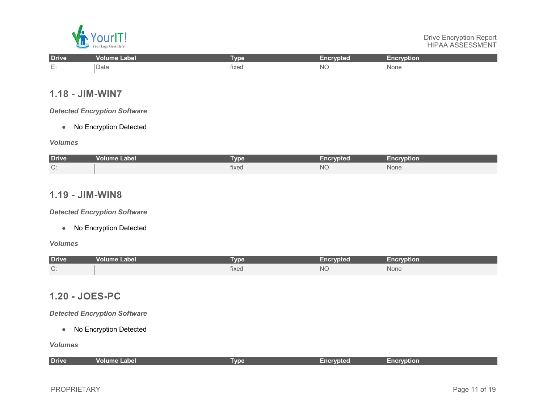

| <b>Drive</b> | ા ભારત | V/T   |            | пют<br>- 11<br>__ |
|--------------|--------|-------|------------|-------------------|
| $- \cdot$    | Data   | fixed | NC.<br>$-$ | None              |

### <span id="page-10-0"></span>**1.18 - JIM-WIN7**

#### *Detected Encryption Software*

#### ● No Encryption Detected

#### *Volumes*

| <b>Drive</b>                       | ∖Volume Label' | <b>Type</b> | Encrvpted | Encryption |
|------------------------------------|----------------|-------------|-----------|------------|
| $\curvearrowright$ .<br>$\smile$ . |                | fixed       | NO        | None       |

### <span id="page-10-1"></span>**1.19 - JIM-WIN8**

#### *Detected Encryption Software*

● No Encryption Detected

#### *Volumes*

| <b>Drive</b>           | Volume Label | vne   | =ncrvnted | Encryption |
|------------------------|--------------|-------|-----------|------------|
| $\cap$ .<br>$\backsim$ |              | tixed | <b>NC</b> | None.      |

### <span id="page-10-2"></span>**1.20 - JOES-PC**

#### *Detected Encryption Software*

● No Encryption Detected

|  | --<br><b>Drive</b> | a matu matu | <b>WA</b><br>. |  |  |
|--|--------------------|-------------|----------------|--|--|
|--|--------------------|-------------|----------------|--|--|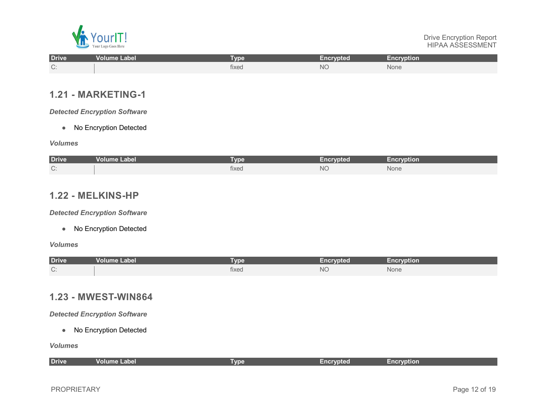

| <b>Drive</b> | olume Label . | <b>vpe</b> | rvpted    | <b>E</b> TION |
|--------------|---------------|------------|-----------|---------------|
| $\sim$       |               | fixed      | <b>NC</b> | None          |

### <span id="page-11-0"></span>**1.21 - MARKETING-1**

#### *Detected Encryption Software*

● No Encryption Detected

#### *Volumes*

| <b>Drive</b>                       | <b>Volume Label</b> | <b>VDE</b> | Encrvpted | <b>Encryption</b> |
|------------------------------------|---------------------|------------|-----------|-------------------|
| $\curvearrowright$ .<br>$\smile$ . |                     | fixed      | NU        | None              |

### <span id="page-11-1"></span>**1.22 - MELKINS-HP**

#### *Detected Encryption Software*

● No Encryption Detected

#### *Volumes*

| <b>Drive</b>         | ∟apeı<br><b>IUIAAT:</b> | <b>VDE</b>   | a n       | vpuon. |
|----------------------|-------------------------|--------------|-----------|--------|
| $\sim$<br>$\backsim$ |                         | <b>fixed</b> | <b>NO</b> | None   |

### <span id="page-11-2"></span>**1.23 - MWEST-WIN864**

#### *Detected Encryption Software*

● No Encryption Detected

| <b>Drive</b> | ,,,,,,, | ∃latek | <b>AVIATION</b> |
|--------------|---------|--------|-----------------|
|              |         |        |                 |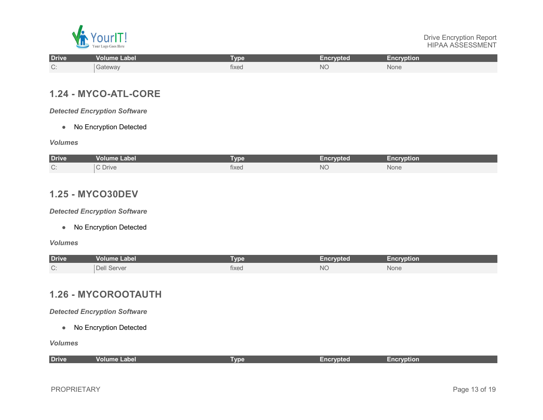

| <b>Drive</b> | ыш    |                                | __            | VOHOIT<br>سم |
|--------------|-------|--------------------------------|---------------|--------------|
| $\sim$       | dlewd | $\overline{f}$<br><b>fixed</b> | <sub>NO</sub> | None         |

### <span id="page-12-0"></span>**1.24 - MYCO-ATL-CORE**

#### *Detected Encryption Software*

#### ● No Encryption Detected

#### *Volumes*

| <b>Drive</b>               | Volume Label | <b>vpe</b> | Encrvpted | Encryption |
|----------------------------|--------------|------------|-----------|------------|
| $\curvearrowright$ .<br>J. | C Drive      | fixed      | NO        | None       |

### <span id="page-12-1"></span>**1.25 - MYCO30DEV**

#### *Detected Encryption Software*

● No Encryption Detected

#### *Volumes*

| <b>Drive</b>          | <b>Volume L</b><br>Label | <b>vne</b> | ∟ncrypted | Encryption |
|-----------------------|--------------------------|------------|-----------|------------|
| $\cap$ .<br>$\ddotsc$ | Server<br>Dell           | tixed      | <b>NC</b> | None       |

### <span id="page-12-2"></span>**1.26 - MYCOROOTAUTH**

#### *Detected Encryption Software*

● No Encryption Detected

| <b>Drive</b> | olume<br> | vne | rvoteo | antels.<br>rvption |
|--------------|-----------|-----|--------|--------------------|
|              |           |     |        |                    |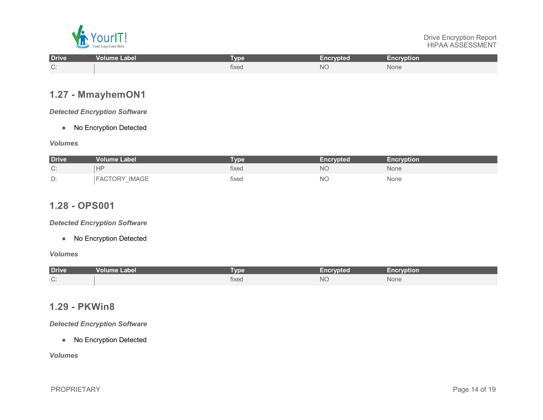

| <b>Drive</b> | olume Label . | <b>vpe</b> | rvpted    | <b>E</b> TION |
|--------------|---------------|------------|-----------|---------------|
| $\sim$       |               | fixed      | <b>NC</b> | None          |

# <span id="page-13-0"></span>**1.27 - MmayhemON1**

#### *Detected Encryption Software*

#### ● No Encryption Detected

#### *Volumes*

| <b>Drive</b>    | <b>Volume Label</b>                                         | vpe   | Encrypted | <b>Encryption</b> |
|-----------------|-------------------------------------------------------------|-------|-----------|-------------------|
| $\bigcap$<br>U. | <b>HF</b>                                                   | tixed | <b>NO</b> | <b>None</b>       |
| $\Gamma$<br>້.  | <b>ORY IMAGE</b><br><b>FACT</b><br>$\overline{\phantom{a}}$ | fixed | <b>NC</b> | None              |

### <span id="page-13-1"></span>**1.28 - OPS001**

#### *Detected Encryption Software*

● No Encryption Detected

#### *Volumes*

| <b>Drive</b>        | Volume Label ' | <b>vpe</b> | Encrvpted | Encryption |
|---------------------|----------------|------------|-----------|------------|
| $\sim$<br>$\ddotsc$ |                | fixed      | <b>NC</b> | None       |

### <span id="page-13-2"></span>**1.29 - PKWin8**

#### *Detected Encryption Software*

● No Encryption Detected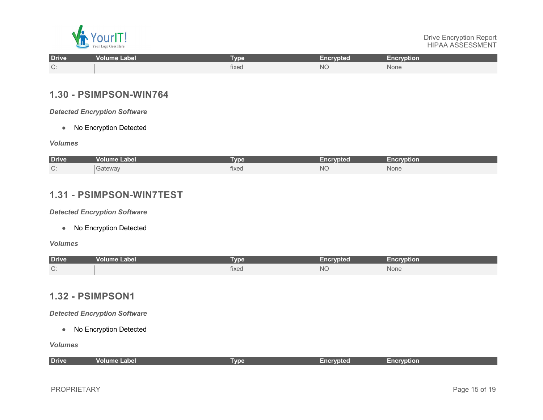

| <b>Drive</b>                     | eloel | vpe   |           |      |
|----------------------------------|-------|-------|-----------|------|
| $\curvearrowright$ .<br>$\cup$ . |       | tixed | <b>NC</b> | None |

### <span id="page-14-0"></span>**1.30 - PSIMPSON-WIN764**

#### *Detected Encryption Software*

#### ● No Encryption Detected

#### *Volumes*

| <b>Drive</b>                         | Volume Label | <b>WOR</b> | Encrvpted | <b>Encryption</b> |
|--------------------------------------|--------------|------------|-----------|-------------------|
| $\curvearrowright$ .<br>$\backsim$ . | Gatewav      | fixed      | <b>NC</b> | None              |

### <span id="page-14-1"></span>**1.31 - PSIMPSON-WIN7TEST**

#### *Detected Encryption Software*

● No Encryption Detected

#### *Volumes*

| <b>Drive</b>         | Volume Label' | <b>VDE</b> | Encrvnted | Encryption |
|----------------------|---------------|------------|-----------|------------|
| $\sim$<br>$\backsim$ |               | tixea      | <b>NC</b> | None       |

### <span id="page-14-2"></span>**1.32 - PSIMPSON1**

#### *Detected Encryption Software*

● No Encryption Detected

|--|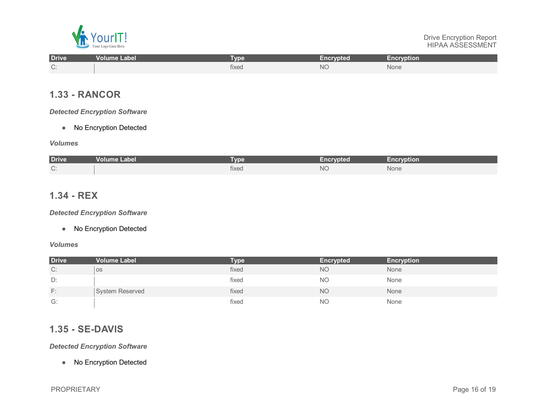

| <b>Drive</b> | <b>Slume Label</b><br>vor | <b>vpe</b> | rvpted | ryption\ |
|--------------|---------------------------|------------|--------|----------|
| $\smile$ .   |                           | fixea      | ΝC     | None     |

### <span id="page-15-0"></span>**1.33 - RANCOR**

#### *Detected Encryption Software*

#### ● No Encryption Detected

#### *Volumes*

| <b>Drive</b>                      | Volume Label | <b>VDC</b> | Encrypted | Encryption, |
|-----------------------------------|--------------|------------|-----------|-------------|
| $\curvearrowright$ .<br>$\ddotsc$ |              | fixed      | NC        | None        |

# <span id="page-15-1"></span>**1.34 - REX**

#### *Detected Encryption Software*

● No Encryption Detected

#### *Volumes*

| <b>Drive</b> | Volume Label           | 'ype  | <b>Encrypted</b> | <b>Encryption</b> |
|--------------|------------------------|-------|------------------|-------------------|
| С:           | <b>OS</b>              | fixed | <b>NO</b>        | <b>None</b>       |
| D:           |                        | fixed | <b>NO</b>        | None              |
| F:           | <b>System Reserved</b> | fixed | <b>NO</b>        | None              |
| G:           |                        | fixed | N <sub>O</sub>   | None              |

### <span id="page-15-2"></span>**1.35 - SE-DAVIS**

#### *Detected Encryption Software*

● No Encryption Detected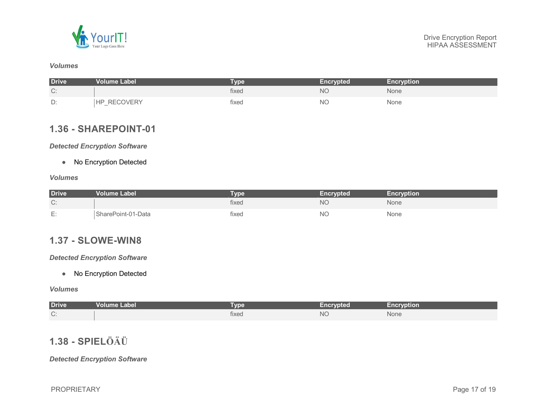

#### *Volumes*

| <b>Drive</b>    | <b>Volume Label</b>                                | vne   | <b>Encrypted</b> | Encryption  |
|-----------------|----------------------------------------------------|-------|------------------|-------------|
| $\bigcap$<br>U. |                                                    | tixed | <b>NC</b>        | <b>None</b> |
| D:              | <b>RECOVERY</b><br>HP.<br>$\overline{\phantom{a}}$ | tixed | NO               | None        |

### <span id="page-16-0"></span>**1.36 - SHAREPOINT-01**

#### *Detected Encryption Software*

● No Encryption Detected

#### *Volumes*

| <b>Drive</b>                | Volume Label       | VDE   | Encrypted | Encryption  |
|-----------------------------|--------------------|-------|-----------|-------------|
| $\bigcap$ .<br>$\backsim$ . |                    | tixed | <b>NC</b> | <b>None</b> |
| E.<br>-                     | SharePoint-01-Data | tixed | NC.       | <b>None</b> |

### <span id="page-16-1"></span>**1.37 - SLOWE-WIN8**

#### *Detected Encryption Software*

● No Encryption Detected

#### *Volumes*

| <b>Drive</b>        | folume L<br>Label | vne          | <b>AVIATE A</b> | Encryption |
|---------------------|-------------------|--------------|-----------------|------------|
| $\sim$<br>$\ddotsc$ |                   | <b>fixed</b> | <b>NC</b>       | None       |

# <span id="page-16-2"></span>**1.38 - SPIELÖÄÜ**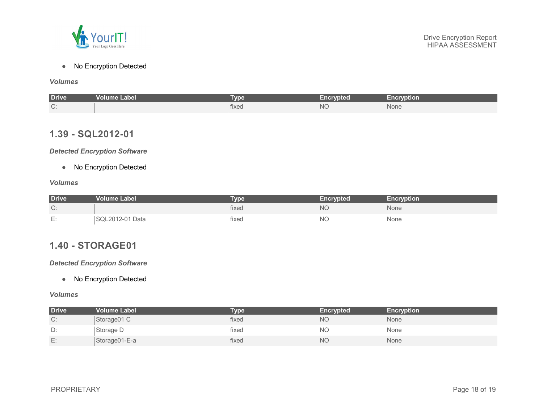

#### ● No Encryption Detected

#### *Volumes*

| <b>Drive</b>                       | <u> </u> Volume Label | <b>Tvpe</b> | :ncrvnted     | Encryption |
|------------------------------------|-----------------------|-------------|---------------|------------|
| $\curvearrowright$ .<br>$\backsim$ |                       | fixed       | <sub>NO</sub> | None       |

### <span id="page-17-0"></span>**1.39 - SQL2012-01**

#### *Detected Encryption Software*

● No Encryption Detected

#### *Volumes*

| <b>Drive</b>               | Volume Label    | <b>vpe</b> | Encrypted | Encryption |
|----------------------------|-----------------|------------|-----------|------------|
| C:                         |                 | fixed      | <b>NC</b> | None       |
| $\mathbb{E}^1$<br><u>.</u> | SQL2012-01 Data | fixed      | NC.       | None       |

### <span id="page-17-1"></span>**1.40 - STORAGE01**

#### *Detected Encryption Software*

● No Encryption Detected

| <b>Drive</b>      | <b>Volume Label</b> | <b>vpe</b> | <b>Encrypted</b> | <b>Encryption</b> |
|-------------------|---------------------|------------|------------------|-------------------|
| С:                | Storage01 C         | fixed      | ΝC               | <b>None</b>       |
| D:                | Storage D           | fixed      | NС               | None              |
| $F^*$<br><u>.</u> | Storage01-E-a       | fixed      | <b>NC</b>        | <b>None</b>       |